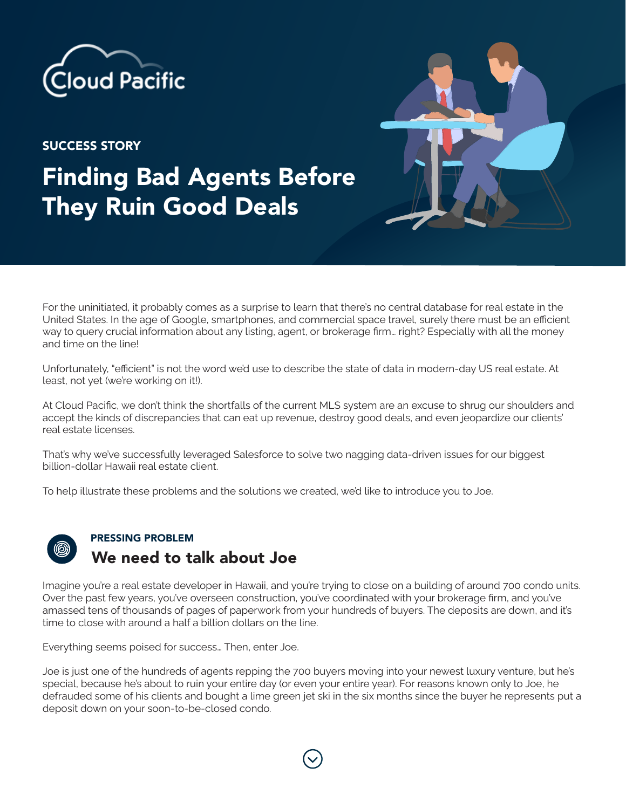

SUCCESS STORY

## Finding Bad Agents Before They Ruin Good Deals

For the uninitiated, it probably comes as a surprise to learn that there's no central database for real estate in the United States. In the age of Google, smartphones, and commercial space travel, surely there must be an efficient way to query crucial information about any listing, agent, or brokerage firm… right? Especially with all the money and time on the line!

Unfortunately, "efficient" is not the word we'd use to describe the state of data in modern-day US real estate. At least, not yet (we're working on it!).

At Cloud Pacific, we don't think the shortfalls of the current MLS system are an excuse to shrug our shoulders and accept the kinds of discrepancies that can eat up revenue, destroy good deals, and even jeopardize our clients' real estate licenses.

That's why we've successfully leveraged Salesforce to solve two nagging data-driven issues for our biggest billion-dollar Hawaii real estate client.

To help illustrate these problems and the solutions we created, we'd like to introduce you to Joe.



## PRESSING PROBLEM We need to talk about Joe

Imagine you're a real estate developer in Hawaii, and you're trying to close on a building of around 700 condo units. Over the past few years, you've overseen construction, you've coordinated with your brokerage firm, and you've amassed tens of thousands of pages of paperwork from your hundreds of buyers. The deposits are down, and it's time to close with around a half a billion dollars on the line.

Everything seems poised for success… Then, enter Joe.

Joe is just one of the hundreds of agents repping the 700 buyers moving into your newest luxury venture, but he's special, because he's about to ruin your entire day (or even your entire year). For reasons known only to Joe, he defrauded some of his clients and bought a lime green jet ski in the six months since the buyer he represents put a deposit down on your soon-to-be-closed condo.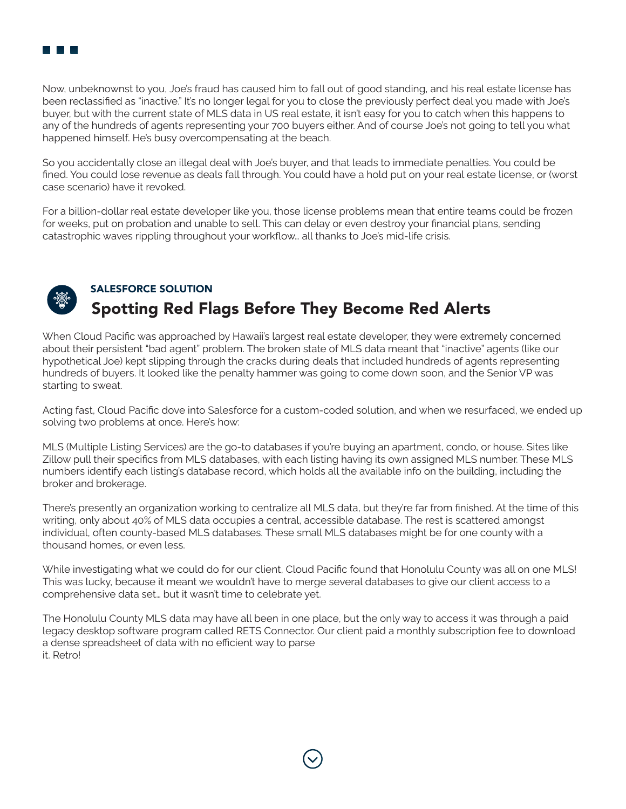

Now, unbeknownst to you, Joe's fraud has caused him to fall out of good standing, and his real estate license has been reclassified as "inactive." It's no longer legal for you to close the previously perfect deal you made with Joe's buyer, but with the current state of MLS data in US real estate, it isn't easy for you to catch when this happens to any of the hundreds of agents representing your 700 buyers either. And of course Joe's not going to tell you what happened himself. He's busy overcompensating at the beach.

So you accidentally close an illegal deal with Joe's buyer, and that leads to immediate penalties. You could be fined. You could lose revenue as deals fall through. You could have a hold put on your real estate license, or (worst case scenario) have it revoked.

For a billion-dollar real estate developer like you, those license problems mean that entire teams could be frozen for weeks, put on probation and unable to sell. This can delay or even destroy your financial plans, sending catastrophic waves rippling throughout your workflow… all thanks to Joe's mid-life crisis.



## SALESFORCE SOLUTION Spotting Red Flags Before They Become Red Alerts

When Cloud Pacific was approached by Hawaii's largest real estate developer, they were extremely concerned about their persistent "bad agent" problem. The broken state of MLS data meant that "inactive" agents (like our hypothetical Joe) kept slipping through the cracks during deals that included hundreds of agents representing hundreds of buyers. It looked like the penalty hammer was going to come down soon, and the Senior VP was starting to sweat.

Acting fast, Cloud Pacific dove into Salesforce for a custom-coded solution, and when we resurfaced, we ended up solving two problems at once. Here's how:

MLS (Multiple Listing Services) are the go-to databases if you're buying an apartment, condo, or house. Sites like Zillow pull their specifics from MLS databases, with each listing having its own assigned MLS number. These MLS numbers identify each listing's database record, which holds all the available info on the building, including the broker and brokerage.

There's presently an organization working to centralize all MLS data, but they're far from finished. At the time of this writing, only about 40% of MLS data occupies a central, accessible database. The rest is scattered amongst individual, often county-based MLS databases. These small MLS databases might be for one county with a thousand homes, or even less.

While investigating what we could do for our client, Cloud Pacific found that Honolulu County was all on one MLS! This was lucky, because it meant we wouldn't have to merge several databases to give our client access to a comprehensive data set… but it wasn't time to celebrate yet.

The Honolulu County MLS data may have all been in one place, but the only way to access it was through a paid legacy desktop software program called RETS Connector. Our client paid a monthly subscription fee to download a dense spreadsheet of data with no efficient way to parse it. Retro!